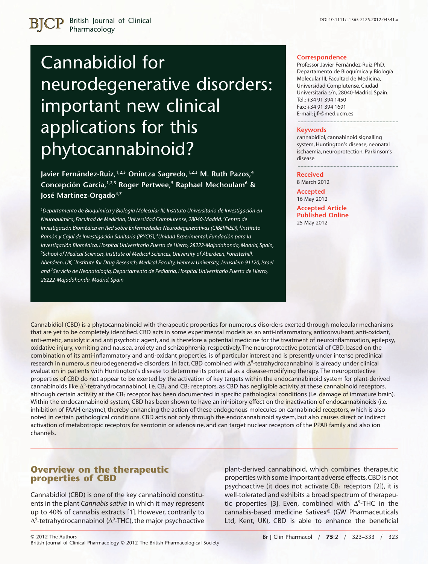# Cannabidiol for neurodegenerative disorders: important new clinical applications for this phytocannabinoid?

**Javier Fernández-Ruiz,1,2,3 Onintza Sagredo,1,2,3 M. Ruth Pazos,4 Concepción García,1,2,3 Roger Pertwee,5 Raphael Mechoulam6 & José Martínez-Orgado4,7**

*1 Departamento de Bioquímica y Biología Molecular III, Instituto Universitario de Investigación en Neuroquímica, Facultad de Medicina, Universidad Complutense, 28040-Madrid, <sup>2</sup> Centro de Investigación Biomédica en Red sobre Enfermedades Neurodegenerativas (CIBERNED), <sup>3</sup> Instituto Ramón y Cajal de Investigación Sanitaria (IRYCIS), <sup>4</sup> Unidad Experimental, Fundación para la Investigación Biomédica, Hospital Universitario Puerta de Hierro, 28222-Majadahonda, Madrid, Spain, 5 School of Medical Sciences, Institute of Medical Sciences, University of Aberdeen, Foresterhill, Aberdeen, UK, <sup>6</sup> Institute for Drug Research, Medical Faculty, Hebrew University, Jerusalem 91120, Israel and <sup>7</sup> Servicio de Neonatología, Departamento de Pediatría, Hospital Universitario Puerta de Hierro, 28222-Majadahonda, Madrid, Spain*

#### **Correspondence**

Professor Javier Fernández-Ruiz PhD, Departamento de Bioquímica y Biología Molecular III, Facultad de Medicina, Universidad Complutense, Ciudad Universitaria s/n, 28040-Madrid, Spain. Tel.: +34 91 394 1450 Fax: +34 91 394 1691 E-mail: jjfr@med.ucm.es

#### **Keywords**

cannabidiol, cannabinoid signalling system, Huntington's disease, neonatal ischaemia, neuroprotection, Parkinson's disease

----------------------------------------------------------------------

----------------------------------------------------------------------

#### **Received**

8 March 2012 **Accepted** 16 May 2012 **Accepted Article Published Online** 25 May 2012

Cannabidiol (CBD) is a phytocannabinoid with therapeutic properties for numerous disorders exerted through molecular mechanisms that are yet to be completely identified. CBD acts in some experimental models as an anti-inflammatory, anticonvulsant, anti-oxidant, anti-emetic, anxiolytic and antipsychotic agent, and is therefore a potential medicine for the treatment of neuroinflammation, epilepsy, oxidative injury, vomiting and nausea, anxiety and schizophrenia, respectively. The neuroprotective potential of CBD, based on the combination of its anti-inflammatory and anti-oxidant properties, is of particular interest and is presently under intense preclinical research <mark>in numerous n</mark>eurodegenerative disorders. In fact, CBD combined with  $\Delta^9$ -tetrahydrocannabinol is already under clinical evaluation in patients with Huntington's disease to determine its potential as a disease-modifying therapy. The neuroprotective properties of CBD do not appear to be exerted by the activation of key targets within the endocannabinoid system for plant-derived cannabinoids like  $\Delta^9$ -tetrahydrocannabinol, i.e. CB<sub>1</sub> and CB<sub>2</sub> receptors, as CBD has negligible activity at these cannabinoid receptors, although certain activity at the CB<sub>2</sub> receptor has been documented in specific pathological conditions (i.e. damage of immature brain). Within the endocannabinoid system, CBD has been shown to have an inhibitory effect on the inactivation of endocannabinoids (i.e. inhibition of FAAH enzyme), thereby enhancing the action of these endogenous molecules on cannabinoid receptors, which is also noted in certain pathological conditions. CBD acts not only through the endocannabinoid system, but also causes direct or indirect activation of metabotropic receptors for serotonin or adenosine, and can target nuclear receptors of the PPAR family and also ion channels.

### **Overview on the therapeutic properties of CBD**

Cannabidiol (CBD) is one of the key cannabinoid constituents in the plant *Cannabis sativa* in which it may represent up to 40% of cannabis extracts [1]. However, contrarily to  $\Delta^9$ -tetrahydrocannabinol ( $\Delta^9$ -THC), the major psychoactive

plant-derived cannabinoid, which combines therapeutic properties with some important adverse effects, CBD is not psychoactive (it does not activate  $CB_1$  receptors [2]), it is well-tolerated and exhibits a broad spectrum of therapeutic properties [3]. Even, combined with  $\Delta^9$ -THC in the cannabis-based medicine Sativex® (GW Pharmaceuticals Ltd, Kent, UK), CBD is able to enhance the beneficial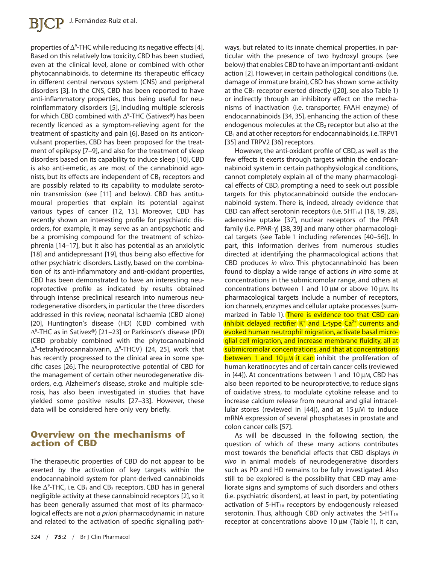properties of  $\Delta^9$ -THC while reducing its negative effects [4]. Based on this relatively low toxicity, CBD has been studied, even at the clinical level, alone or combined with other phytocannabinoids, to determine its therapeutic efficacy in different central nervous system (CNS) and peripheral disorders [3]. In the CNS, CBD has been reported to have anti-inflammatory properties, thus being useful for neuroinflammatory disorders [5], including multiple sclerosis for which CBD combined with  $\Delta^9$ -THC (Sativex®) has been recently licenced as a symptom-relieving agent for the treatment of spasticity and pain [6]. Based on its anticonvulsant properties, CBD has been proposed for the treatment of epilepsy [7–9], and also for the treatment of sleep disorders based on its capability to induce sleep [10]. CBD is also anti-emetic, as are most of the cannabinoid agonists, but its effects are independent of  $CB<sub>1</sub>$  receptors and are possibly related to its capability to modulate serotonin transmission (see [11] and below). CBD has antitumoural properties that explain its potential against various types of cancer [12, 13]. Moreover, CBD has recently shown an interesting profile for psychiatric disorders, for example, it may serve as an antipsychotic and be a promising compound for the treatment of schizophrenia [14–17], but it also has potential as an anxiolytic [18] and antidepressant [19], thus being also effective for other psychiatric disorders. Lastly, based on the combination of its anti-inflammatory and anti-oxidant properties, CBD has been demonstrated to have an interesting neuroprotective profile as indicated by results obtained through intense preclinical research into numerous neurodegenerative disorders, in particular the three disorders addressed in this review, neonatal ischaemia (CBD alone) [20], Huntington's disease (HD) (CBD combined with  $\Delta^9$ -THC as in Sativex®) [21–23] or Parkinson's disease (PD) (CBD probably combined with the phytocannabinoid  $\Delta^9$ -tetrahydrocannabivarin,  $\Delta^9$ -THCV) [24, 25], work that has recently progressed to the clinical area in some specific cases [26]. The neuroprotective potential of CBD for the management of certain other neurodegenerative disorders, e.g. Alzheimer's disease, stroke and multiple sclerosis, has also been investigated in studies that have yielded some positive results [27–33]. However, these data will be considered here only very briefly.

### **Overview on the mechanisms of action of CBD**

The therapeutic properties of CBD do not appear to be exerted by the activation of key targets within the endocannabinoid system for plant-derived cannabinoids like  $\Delta^9$ -THC, i.e. CB<sub>1</sub> and CB<sub>2</sub> receptors. CBD has in general negligible activity at these cannabinoid receptors [2], so it has been generally assumed that most of its pharmacological effects are not *a priori* pharmacodynamic in nature and related to the activation of specific signalling pathways, but related to its innate chemical properties, in particular with the presence of two hydroxyl groups (see below) that enables CBD to have an important anti-oxidant action [2]. However, in certain pathological conditions (i.e. damage of immature brain), CBD has shown some activity at the  $CB_2$  receptor exerted directly ([20], see also Table 1) or indirectly through an inhibitory effect on the mechanisms of inactivation (i.e. transporter, FAAH enzyme) of endocannabinoids [34, 35], enhancing the action of these endogenous molecules at the  $CB<sub>2</sub>$  receptor but also at the  $CB<sub>1</sub>$  and at other receptors for endocannabinoids, i.e. TRPV1 [35] and TRPV2 [36] receptors.

However, the anti-oxidant profile of CBD, as well as the few effects it exerts through targets within the endocannabinoid system in certain pathophysiological conditions, cannot completely explain all of the many pharmacological effects of CBD, prompting a need to seek out possible targets for this phytocannabinoid outside the endocannabinoid system. There is, indeed, already evidence that CBD can affect serotonin receptors (i.e.  $5HT_{1A}$ ) [18, 19, 28], adenosine uptake [37], nuclear receptors of the PPAR family (i.e. PPAR-g) [38, 39] and many other pharmacological targets (see Table 1 including references [40–56]). In part, this information derives from numerous studies directed at identifying the pharmacological actions that CBD produces *in vitro*. This phytocannabinoid has been found to display a wide range of actions *in vitro* some at concentrations in the submicromolar range, and others at concentrations between 1 and 10  $\mu$ M or above 10  $\mu$ M. Its pharmacological targets include a number of receptors, ion channels, enzymes and cellular uptake processes (summarized in Table 1). There is evidence too that CBD can inhibit delayed rectifier  $K^+$  and L-type  $Ca^{2+}$  currents and evoked human neutrophil migration, activate basal microglial cell migration, and increase membrane fluidity, all at submicromolar concentrations, and that at concentrations between 1 and 10  $\mu$ M it can inhibit the proliferation of human keratinocytes and of certain cancer cells (reviewed in  $[44]$ ). At concentrations between 1 and 10  $\mu$ M, CBD has also been reported to be neuroprotective, to reduce signs of oxidative stress, to modulate cytokine release and to increase calcium release from neuronal and glial intracellular stores (reviewed in [44]), and at 15  $\mu$ M to induce mRNA expression of several phosphatases in prostate and colon cancer cells [57].

As will be discussed in the following section, the question of which of these many actions contributes most towards the beneficial effects that CBD displays *in vivo* in animal models of neurodegenerative disorders such as PD and HD remains to be fully investigated. Also still to be explored is the possibility that CBD may ameliorate signs and symptoms of such disorders and others (i.e. psychiatric disorders), at least in part, by potentiating activation of  $5-HT<sub>1A</sub>$  receptors by endogenously released serotonin. Thus, although CBD only activates the 5-HT $_{1A}$ receptor at concentrations above 10  $\mu$ M (Table 1), it can,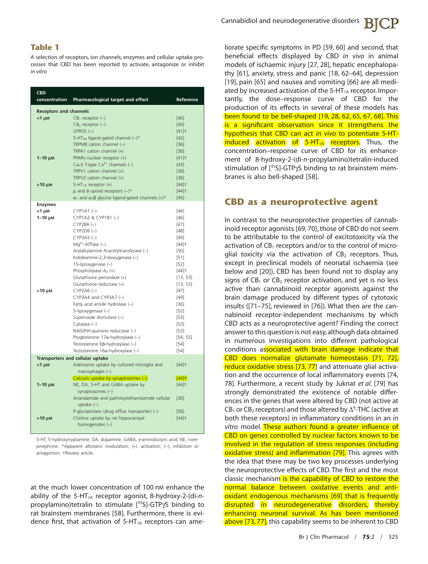#### **Table 1**

A selection of receptors, ion channels, enzymes and cellular uptake processes that CBD has been reported to activate, antagonize or inhibit *in vitro*

| <b>CBD</b><br>concentration   | Pharmacological target and effect                                 | Reference           |
|-------------------------------|-------------------------------------------------------------------|---------------------|
| <b>Receptors and channels</b> |                                                                   |                     |
| $<$ 1 $\mu$ M                 | $CB_1$ receptor $(-)$                                             | $[40]$              |
|                               | $CB2$ receptor $(-)$                                              | [40]                |
|                               | $GPR55$ $(-)$                                                     | $[41]$ <sup>+</sup> |
|                               | 5-HT <sub>3A</sub> ligand-gated channel $(-)^*$                   | $[42]$              |
|                               | TRPM8 cation channel (-)                                          | $[36]$              |
|                               | TRPA1 cation channel (+)                                          | $[36]$              |
| $1-10 \mu$ M                  | PPARy nuclear receptor (+)                                        | $[41]$ <sup>+</sup> |
|                               | Ca <sub>v</sub> 3 T-type Ca <sup>2+</sup> channels (-)            | $[43]$              |
|                               | TRPV1 cation channel $(+)$                                        | $[36]$              |
|                               | TRPV2 cation channel $(+)$                                        | $[36]$              |
| $>10 \mu$ M                   | 5-HT <sub>1A</sub> receptor $(+)$                                 | $[44]$ <sup>+</sup> |
|                               | $\mu$ and $\delta$ opioid receptors (-)*                          | $[44]$ <sup>+</sup> |
|                               | $\alpha_1$ and $\alpha_1\beta$ glycine ligand-gated channels (+)* | $[45]$              |
| <b>Enzymes</b>                |                                                                   |                     |
| $<$ 1 $\mu$ M                 | $CYP1A1$ $(-)$                                                    | $[46]$              |
| $1-10 \mu$ M                  | CYP1A2 & CYP1B1 (-)                                               | $[46]$              |
|                               | $CYP2B6 (-)$<br>$CYP2D6 (-)$                                      | $[47]$              |
|                               | $CYP3A5$ $(-)$                                                    | $[48]$<br>$[49]$    |
|                               | $Mq^{2+}$ -ATPase $(-)$                                           | [44]                |
|                               | Arylalkylamine N-acetyltransferase (-)                            | [50]                |
|                               | Indoleamine-2,3-dioxygenase (-)                                   | $[51]$              |
|                               | 15-lipoxygenase (-)                                               | $[52]$              |
|                               | Phospholipase $A_2$ (+)                                           | $[44]$ <sup>+</sup> |
|                               | Glutathione peroxidase (+)                                        | [13, 53]            |
|                               | Glutathione reductase (+)                                         | [13, 53]            |
| $>10 \mu$ M                   | $CYP2A6$ $(-)$                                                    | $[47]$              |
|                               | CYP3A4 and CYP3A7 (-)                                             | $[49]$              |
|                               | Fatty acid amide hydrolase (-)                                    | $[36]$              |
|                               | 5-lipoxygenase (-)                                                | $[52]$              |
|                               | Superoxide dismutase (-)                                          | $[53]$              |
|                               | Catalase $(-)$                                                    | $[53]$              |
|                               | NAD(P)H-quinone reductase (-)                                     | $[53]$              |
|                               | Progesterone $17\alpha$ -hydroxylase (-)                          | [54, 55]            |
|                               | Testosterone 6ß-hydroxylase (-)                                   | $[54]$              |
|                               | Testosterone $16\alpha$ -hydroxylase (-)                          | $[54]$              |
|                               | Transporters and cellular uptake                                  |                     |
| $<$ 1 $\mu$ M                 | Adenosine uptake by cultured microglia and<br>macrophages $(-)$   | $[44]$ <sup>+</sup> |
|                               | Calcium uptake by synaptosomes (-)                                | [44]                |
| $1-10 \mu$ M                  | NE, DA, 5-HT and GABA uptake by                                   | $[44]$ <sup>+</sup> |
|                               | synaptosomes $(-)$                                                |                     |
|                               | Anandamide and palmitoylethanolamide cellular                     | $[36]$              |
|                               | uptake $(-)$                                                      |                     |
|                               | P-glycoprotein (drug efflux transporter) (-)                      | $[56]$              |
| $>10 \mu$ M                   | Choline uptake by rat hippocampal                                 | $[44]$ <sup>+</sup> |
|                               | homogenates (-)                                                   |                     |
|                               |                                                                   |                     |

5-HT, 5-hydroxytryptamine; DA, dopamine; GABA, y-aminobutyric acid; NE, norepinephrine. \*Apparent allosteric modulation; (+). activation; (-), inhibition or antagonism. †Review article.

at the much lower concentration of 100 nM enhance the ability of the 5-HT1A receptor agonist, 8-hydroxy-2-(di-*n*propylamino)tetralin to stimulate [35S]-GTPyS binding to rat brainstem membranes [58]. Furthermore, there is evidence first, that activation of  $5-HT<sub>1A</sub>$  receptors can ameliorate specific symptoms in PD [59, 60] and second, that beneficial effects displayed by CBD *in vivo* in animal models of ischaemic injury [27, 28], hepatic encephalopathy [61], anxiety, stress and panic [18, 62–64], depression [19], pain [65] and nausea and vomiting [66] are all mediated by increased activation of the  $5-HT_{1A}$  receptor. Importantly, the dose–response curve of CBD for the production of its effects in several of these models has been found to be bell-shaped [19, 28, 62, 65, 67, 68]. This is a significant observation since it strengthens the hypothesis that CBD can act *in vivo* to potentiate 5-HTinduced activation of 5-HT<sub>1A</sub> receptors. Thus, the concentration–response curve of CBD for its enhancement of 8-hydroxy-2-(di-*n*-propylamino)tetralin-induced stimulation of  $[^{35}S]$ -GTP $\gamma$ S binding to rat brainstem membranes is also bell-shaped [58].

#### **CBD as a neuroprotective agent**

In contrast to the neuroprotective properties of cannabinoid receptor agonists [69, 70], those of CBD do not seem to be attributable to the control of excitotoxicity via the activation of  $CB_1$  receptors and/or to the control of microglial toxicity via the activation of  $CB<sub>2</sub>$  receptors. Thus, except in preclinical models of neonatal ischaemia (see below and [20]), CBD has been found not to display any signs of  $CB_1$  or  $CB_2$  receptor activation, and yet is no less active than cannabinoid receptor agonists against the brain damage produced by different types of cytotoxic insults ([71–75], reviewed in [76]). What then are the cannabinoid receptor-independent mechanisms by which CBD acts as a neuroprotective agent? Finding the correct answer to this question is not easy, although data obtained in numerous investigations into different pathological conditions associated with brain damage indicate that CBD does normalize glutamate homeostasis [71, 72], reduce oxidative stress [73, 77] and attenuate glial activation and the occurrence of local inflammatory events [74, 78]. Furthermore, a recent study by Juknat *et al*. [79] has strongly demonstrated the existence of notable differences in the genes that were altered by CBD (not active at CB<sub>1</sub> or CB<sub>2</sub> receptors) and those altered by  $\Delta^9$ -THC (active at both these receptors) in inflammatory conditions in an *in vitro* model. These authors found a greater influence of CBD on genes controlled by nuclear factors known to be involved in the regulation of stress responses (including oxidative stress) and inflammation [79]. This agrees with the idea that there may be two key processes underlying the neuroprotective effects of CBD. The first and the most classic mechanism is the capability of CBD to restore the normal balance between oxidative events and antioxidant endogenous mechanisms [69] that is frequently disrupted in neurodegenerative disorders, thereby enhancing neuronal survival. As has been mentioned above [73, 77], this capability seems to be inherent to CBD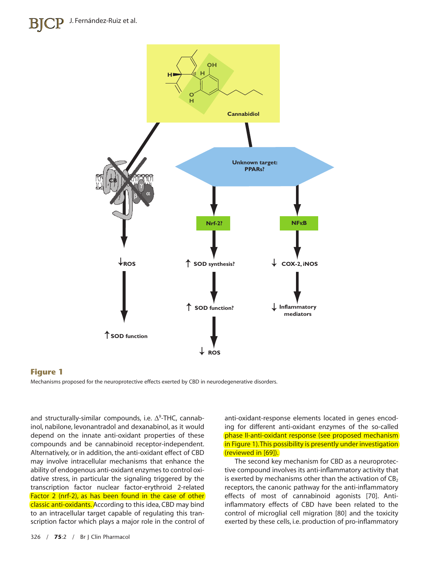

#### **Figure 1**

Mechanisms proposed for the neuroprotective effects exerted by CBD in neurodegenerative disorders.

and structurally-similar compounds, i.e.  $\Delta^9$ -THC, cannabinol, nabilone, levonantradol and dexanabinol, as it would depend on the innate anti-oxidant properties of these compounds and be cannabinoid receptor-independent. Alternatively, or in addition, the anti-oxidant effect of CBD may involve intracellular mechanisms that enhance the ability of endogenous anti-oxidant enzymes to control oxidative stress, in particular the signaling triggered by the transcription factor nuclear factor-erythroid 2-related Factor 2 (nrf-2), as has been found in the case of other classic anti-oxidants. According to this idea, CBD may bind to an intracellular target capable of regulating this transcription factor which plays a major role in the control of

anti-oxidant-response elements located in genes encoding for different anti-oxidant enzymes of the so-called phase II-anti-oxidant response (see proposed mechanism in Figure 1). This possibility is presently under investigation (reviewed in [69]).

The second key mechanism for CBD as a neuroprotective compound involves its anti-inflammatory activity that is exerted by mechanisms other than the activation of  $CB<sub>2</sub>$ receptors, the canonic pathway for the anti-inflammatory effects of most of cannabinoid agonists [70]. Antiinflammatory effects of CBD have been related to the control of microglial cell migration [80] and the toxicity exerted by these cells, i.e. production of pro-inflammatory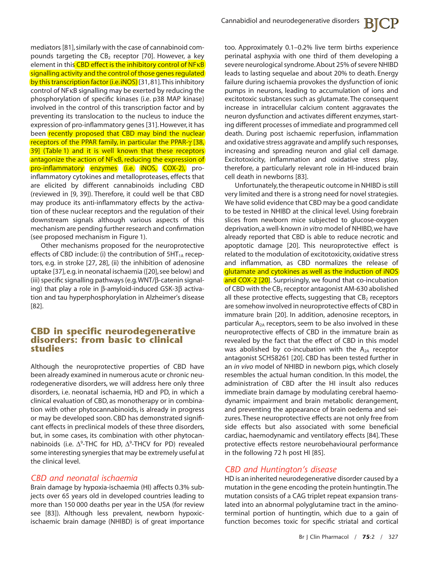mediators [81], similarly with the case of cannabinoid compounds targeting the  $CB<sub>2</sub>$  receptor [70]. However, a key element in this CBD effect is the inhibitory control of NFKB signalling activity and the control of those genes regulated by this transcription factor (i.e. iNOS) [31,81]. This inhibitory control of NFkB signalling may be exerted by reducing the phosphorylation of specific kinases (i.e. p38 MAP kinase) involved in the control of this transcription factor and by preventing its translocation to the nucleus to induce the expression of pro-inflammatory genes [31]. However, it has been recently proposed that CBD may bind the nuclear receptors of the PPAR family, in particular the PPAR- $\gamma$  [38, 39] (Table 1) and it is well known that these receptors antagonize the action of NF<sub>K</sub>B, reducing the expression of pro-inflammatory enzymes (i.e. iNOS, COX-2), proinflammatory cytokines and metalloproteases, effects that are elicited by different cannabinoids including CBD (reviewed in [9, 39]). Therefore, it could well be that CBD may produce its anti-inflammatory effects by the activation of these nuclear receptors and the regulation of their downstream signals although various aspects of this mechanism are pending further research and confirmation (see proposed mechanism in Figure 1).

Other mechanisms proposed for the neuroprotective effects of CBD include: (i) the contribution of  $5HT<sub>1A</sub>$  receptors, e.g. in stroke [27, 28], (ii) the inhibition of adenosine uptake [37], e.g. in neonatal ischaemia ([20], see below) and (iii) specific signalling pathways (e.g. WNT/ $\beta$ -catenin signaling) that play a role in  $\beta$ -amyloid-induced GSK-3 $\beta$  activation and tau hyperphosphorylation in Alzheimer's disease [82].

#### **CBD in specific neurodegenerative disorders: from basic to clinical studies**

Although the neuroprotective properties of CBD have been already examined in numerous acute or chronic neurodegenerative disorders, we will address here only three disorders, i.e. neonatal ischaemia, HD and PD, in which a clinical evaluation of CBD, as monotherapy or in combination with other phytocannabinoids, is already in progress or may be developed soon. CBD has demonstrated significant effects in preclinical models of these three disorders, but, in some cases, its combination with other phytocannabinoids (i.e.  $\Delta^9$ -THC for HD,  $\Delta^9$ -THCV for PD) revealed some interesting synergies that may be extremely useful at the clinical level.

#### *CBD and neonatal ischaemia*

Brain damage by hypoxia-ischaemia (HI) affects 0.3% subjects over 65 years old in developed countries leading to more than 150 000 deaths per year in the USA (for review see [83]). Although less prevalent, newborn hypoxicischaemic brain damage (NHIBD) is of great importance

too. Approximately 0.1–0.2% live term births experience perinatal asphyxia with one third of them developing a severe neurological syndrome.About 25% of severe NHIBD leads to lasting sequelae and about 20% to death. Energy failure during ischaemia provokes the dysfunction of ionic pumps in neurons, leading to accumulation of ions and excitotoxic substances such as glutamate. The consequent increase in intracellular calcium content aggravates the neuron dysfunction and activates different enzymes, starting different processes of immediate and programmed cell death. During post ischaemic reperfusion, inflammation and oxidative stress aggravate and amplify such responses, increasing and spreading neuron and glial cell damage. Excitotoxicity, inflammation and oxidative stress play, therefore, a particularly relevant role in HI-induced brain cell death in newborns [83].

Unfortunately, the therapeutic outcome in NHIBD is still very limited and there is a strong need for novel strategies. We have solid evidence that CBD may be a good candidate to be tested in NHIBD at the clinical level. Using forebrain slices from newborn mice subjected to glucose-oxygen deprivation, a well-known *in vitro* model of NHIBD, we have already reported that CBD is able to reduce necrotic and apoptotic damage [20]. This neuroprotective effect is related to the modulation of excitotoxicity, oxidative stress and inflammation, as CBD normalizes the release of glutamate and cytokines as well as the induction of iNOS and COX-2 [20]. Surprisingly, we found that co-incubation of CBD with the CB<sub>2</sub> receptor antagonist AM-630 abolished all these protective effects, suggesting that  $CB<sub>2</sub>$  receptors are somehow involved in neuroprotective effects of CBD in immature brain [20]. In addition, adenosine receptors, in particular  $A_{2A}$  receptors, seem to be also involved in these neuroprotective effects of CBD in the immature brain as revealed by the fact that the effect of CBD in this model was abolished by co-incubation with the  $A_{2A}$  receptor antagonist SCH58261 [20]. CBD has been tested further in an *in vivo* model of NHIBD in newborn pigs, which closely resembles the actual human condition. In this model, the administration of CBD after the HI insult also reduces immediate brain damage by modulating cerebral haemodynamic impairment and brain metabolic derangement, and preventing the appearance of brain oedema and seizures.These neuroprotective effects are not only free from side effects but also associated with some beneficial cardiac, haemodynamic and ventilatory effects [84]. These protective effects restore neurobehavioural performance in the following 72 h post HI [85].

### *CBD and Huntington's disease*

HD is an inherited neurodegenerative disorder caused by a mutation in the gene encoding the protein huntingtin.The mutation consists of a CAG triplet repeat expansion translated into an abnormal polyglutamine tract in the aminoterminal portion of huntingtin, which due to a gain of function becomes toxic for specific striatal and cortical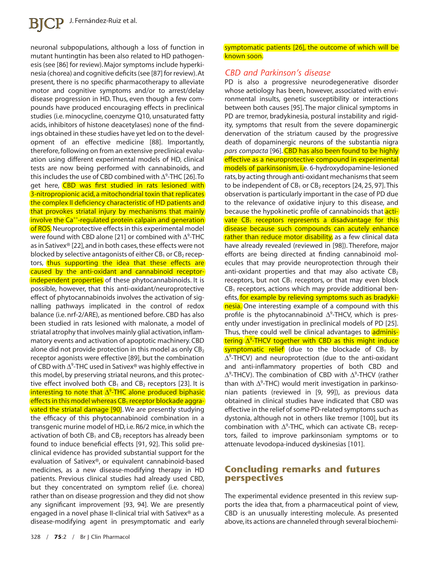# **BJCP** J. Fernández-Ruiz et al.

neuronal subpopulations, although a loss of function in mutant huntingtin has been also related to HD pathogenesis (see [86] for review). Major symptoms include hyperkinesia (chorea) and cognitive deficits (see [87] for review).At present, there is no specific pharmacotherapy to alleviate motor and cognitive symptoms and/or to arrest/delay disease progression in HD. Thus, even though a few compounds have produced encouraging effects in preclinical studies (i.e. minocycline, coenzyme Q10, unsaturated fatty acids, inhibitors of histone deacetylases) none of the findings obtained in these studies have yet led on to the development of an effective medicine [88]. Importantly, therefore, following on from an extensive preclinical evaluation using different experimental models of HD, clinical tests are now being performed with cannabinoids, and this includes the use of CBD combined with  $\Delta^9$ -THC [26].To get here, CBD was first studied in rats lesioned with 3-nitropropionic acid, a mitochondrial toxin that replicates the complex II deficiency characteristic of HD patients and that provokes striatal injury by mechanisms that mainly involve the Ca<sup>++</sup>-regulated protein calpain and generation of ROS. Neuroprotective effects in this experimental model were found with CBD alone [21] or combined with  $\Delta^9$ -THC as in Sativex® [22], and in both cases, these effects were not blocked by selective antagonists of either  $CB_1$  or  $CB_2$  receptors, thus supporting the idea that these effects are caused by the anti-oxidant and cannabinoid receptorindependent properties of these phytocannabinoids. It is possible, however, that this anti-oxidant/neuroprotective effect of phytocannabinoids involves the activation of signalling pathways implicated in the control of redox balance (i.e. nrf-2/ARE), as mentioned before. CBD has also been studied in rats lesioned with malonate, a model of striatal atrophy that involves mainly glial activation, inflammatory events and activation of apoptotic machinery. CBD alone did not provide protection in this model as only  $CB<sub>2</sub>$ receptor agonists were effective [89], but the combination of CBD with  $\Delta^9$ -THC used in Sativex® was highly effective in this model, by preserving striatal neurons, and this protective effect involved both  $CB_1$  and  $CB_2$  receptors [23]. It is interesting to note that  $\Delta^9$ -THC alone produced biphasic effects in this model whereas  $CB_1$  receptor blockade aggra**vated the striatal damage [90]**. We are presently studying the efficacy of this phytocannabinoid combination in a transgenic murine model of HD, i.e. R6/2 mice, in which the activation of both  $CB_1$  and  $CB_2$  receptors has already been found to induce beneficial effects [91, 92]. This solid preclinical evidence has provided substantial support for the evaluation of Sativex®, or equivalent cannabinoid-based medicines, as a new disease-modifying therapy in HD patients. Previous clinical studies had already used CBD, but they concentrated on symptom relief (i.e. chorea) rather than on disease progression and they did not show any significant improvement [93, 94]. We are presently engaged in a novel phase II-clinical trial with Sativex® as a disease-modifying agent in presymptomatic and early

#### symptomatic patients [26], the outcome of which will be known soon.

#### *CBD and Parkinson's disease*

PD is also a progressive neurodegenerative disorder whose aetiology has been, however, associated with environmental insults, genetic susceptibility or interactions between both causes [95]. The major clinical symptoms in PD are tremor, bradykinesia, postural instability and rigidity, symptoms that result from the severe dopaminergic denervation of the striatum caused by the progressive death of dopaminergic neurons of the substantia nigra *pars compacta* [96]. CBD has also been found to be highly effective as a neuroprotective compound in experimental models of parkinsonism, i.e. 6-hydroxydopamine-lesioned rats,by acting through anti-oxidant mechanisms that seem to be independent of  $CB_1$  or  $CB_2$  receptors [24, 25, 97]. This observation is particularly important in the case of PD due to the relevance of oxidative injury to this disease, and because the hypokinetic profile of cannabinoids that activate  $CB_1$  receptors represents a disadvantage for this disease because such compounds can acutely enhance rather than reduce motor disability, as a few clinical data have already revealed (reviewed in [98]). Therefore, major efforts are being directed at finding cannabinoid molecules that may provide neuroprotection through their anti-oxidant properties and that may also activate  $CB<sub>2</sub>$ receptors, but not  $CB_1$  receptors, or that may even block  $CB_1$  receptors, actions which may provide additional benefits, for example by relieving symptoms such as bradykinesia. One interesting example of a compound with this profile is the phytocannabinoid  $\Delta^9$ -THCV, which is presently under investigation in preclinical models of PD [25]. Thus, there could well be clinical advantages to adminis- $\textsf{tering} \textcolor{red}{\textsf{A}}^{\textsf{9}\textsf{-}\textsf{THCV}}$  together with CBD as this might induce symptomatic relief (due to the blockade of  $CB_1$  by  $\Delta^9$ -THCV) and neuroprotection (due to the anti-oxidant and anti-inflammatory properties of both CBD and  $\Delta^9$ -THCV). The combination of CBD with  $\Delta^9$ -THCV (rather than with  $\Delta^9$ -THC) would merit investigation in parkinsonian patients (reviewed in [9, 99]), as previous data obtained in clinical studies have indicated that CBD was effective in the relief of some PD-related symptoms such as dystonia, although not in others like tremor [100], but its combination with  $\Delta^9$ -THC, which can activate CB<sub>1</sub> receptors, failed to improve parkinsoniam symptoms or to attenuate levodopa-induced dyskinesias [101].

### **Concluding remarks and futures perspectives**

The experimental evidence presented in this review supports the idea that, from a pharmaceutical point of view, CBD is an unusually interesting molecule. As presented above, its actions are channeled through several biochemi-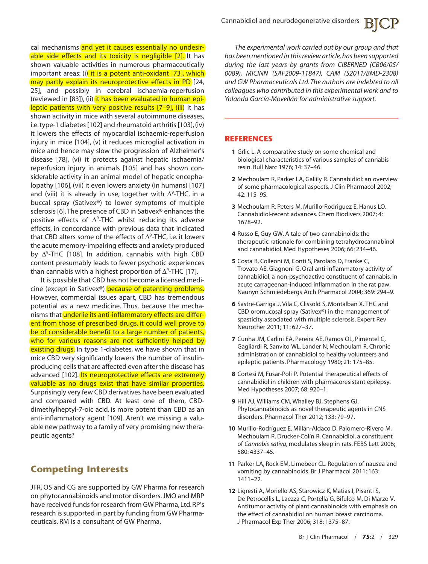cal mechanisms and yet it causes essentially no undesirable side effects and its toxicity is negligible [2]. It has shown valuable activities in numerous pharmaceutically important areas: (i) it is a potent anti-oxidant [73], which may partly explain its neuroprotective effects in PD [24, 25], and possibly in cerebral ischaemia-reperfusion (reviewed in [83]), (ii) it has been evaluated in human epileptic patients with very positive results [7-9], (iii) it has shown activity in mice with several autoimmune diseases, i.e.type-1 diabetes [102] and rheumatoid arthritis [103], (iv) it lowers the effects of myocardial ischaemic-reperfusion injury in mice [104], (v) it reduces microglial activation in mice and hence may slow the progression of Alzheimer's disease [78], (vi) it protects against hepatic ischaemia/ reperfusion injury in animals [105] and has shown considerable activity in an animal model of hepatic encephalopathy [106], (vii) it even lowers anxiety (in humans) [107] and (viii) it is already in use, together with  $\Delta^9$ -THC, in a buccal spray (Sativex®) to lower symptoms of multiple sclerosis [6].The presence of CBD in Sativex® enhances the positive effects of  $\Delta^9$ -THC whilst reducing its adverse effects, in concordance with previous data that indicated that CBD alters some of the effects of  $\Delta^9$ -THC, i.e. it lowers the acute memory-impairing effects and anxiety produced by  $\Delta^9$ -THC [108]. In addition, cannabis with high CBD content presumably leads to fewer psychotic experiences than cannabis with a highest proportion of  $\Delta^9$ -THC [17].

It is possible that CBD has not become a licensed medicine (except in Sativex®) because of patenting problems. However, commercial issues apart, CBD has tremendous potential as a new medicine. Thus, because the mechanisms that underlie its anti-inflammatory effects are different from those of prescribed drugs, it could well prove to be of considerable benefit to a large number of patients, who for various reasons are not sufficiently helped by existing drugs. In type 1-diabetes, we have shown that in mice CBD very significantly lowers the number of insulinproducing cells that are affected even after the disease has advanced [102]. Its neuroprotective effects are extremely valuable as no drugs exist that have similar properties. Surprisingly very few CBD derivatives have been evaluated and compared with CBD. At least one of them, CBDdimethylheptyl-7-oic acid, is more potent than CBD as an anti-inflammatory agent [109]. Aren't we missing a valuable new pathway to a family of very promising new therapeutic agents?

## **Competing Interests**

JFR, OS and CG are supported by GW Pharma for research on phytocannabinoids and motor disorders. JMO and MRP have received funds for research from GW Pharma, Ltd.RP's research is supported in part by funding from GW Pharmaceuticals. RM is a consultant of GW Pharma.

*The experimental work carried out by our group and that has been mentioned in this review article,has been supported during the last years by grants from CIBERNED (CB06/05/ 0089), MICINN (SAF2009-11847), CAM (S2011/BMD-2308) and GW Pharmaceuticals Ltd.The authors are indebted to all colleagues who contributed in this experimental work and to Yolanda García-Movellán for administrative support.*

#### **REFERENCES**

- **1** Grlic L. A comparative study on some chemical and biological characteristics of various samples of cannabis resin. Bull Narc 1976; 14: 37–46.
- **2** Mechoulam R, Parker LA, Gallily R. Cannabidiol: an overview of some pharmacological aspects. J Clin Pharmacol 2002; 42: 11S–9S.
- **3** Mechoulam R, Peters M, Murillo-Rodriguez E, Hanus LO. Cannabidiol-recent advances. Chem Biodivers 2007; 4: 1678–92.
- **4** Russo E, Guy GW. A tale of two cannabinoids: the therapeutic rationale for combining tetrahydrocannabinol and cannabidiol. Med Hypotheses 2006; 66: 234–46.
- **5** Costa B, Colleoni M, Conti S, Parolaro D, Franke C, Trovato AE, Giagnoni G. Oral anti-inflammatory activity of cannabidiol, a non-psychoactive constituent of cannabis, in acute carrageenan-induced inflammation in the rat paw. Naunyn Schmiedebergs Arch Pharmacol 2004; 369: 294–9.
- **6** Sastre-Garriga J, Vila C, Clissold S, Montalban X. THC and CBD oromucosal spray (Sativex®) in the management of spasticity associated with multiple sclerosis. Expert Rev Neurother 2011; 11: 627–37.
- **7** Cunha JM, Carlini EA, Pereira AE, Ramos OL, Pimentel C, Gagliardi R, Sanvito WL, Lander N, Mechoulam R. Chronic administration of cannabidiol to healthy volunteers and epileptic patients. Pharmacology 1980; 21: 175–85.
- **8** Cortesi M, Fusar-Poli P. Potential therapeutical effects of cannabidiol in children with pharmacoresistant epilepsy. Med Hypotheses 2007; 68: 920–1.
- **9** Hill AJ, Williams CM, Whalley BJ, Stephens GJ. Phytocannabinoids as novel therapeutic agents in CNS disorders. Pharmacol Ther 2012; 133: 79–97.
- **10** Murillo-Rodríguez E, Millán-Aldaco D, Palomero-Rivero M, Mechoulam R, Drucker-Colín R. Cannabidiol, a constituent of *Cannabis sativa*, modulates sleep in rats. FEBS Lett 2006; 580: 4337–45.
- **11** Parker LA, Rock EM, Limebeer CL. Regulation of nausea and vomiting by cannabinoids. Br J Pharmacol 2011; 163: 1411–22.
- **12** Ligresti A, Moriello AS, Starowicz K, Matias I, Pisanti S, De Petrocellis L, Laezza C, Portella G, Bifulco M, Di Marzo V. Antitumor activity of plant cannabinoids with emphasis on the effect of cannabidiol on human breast carcinoma. J Pharmacol Exp Ther 2006; 318: 1375–87.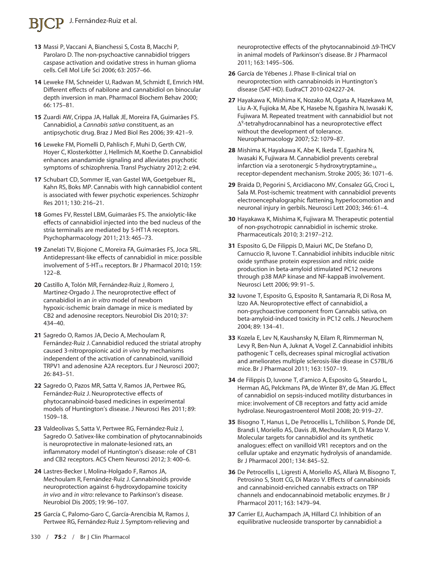# J. Fernández-Ruiz et al.

- **13** Massi P, Vaccani A, Bianchessi S, Costa B, Macchi P, Parolaro D. The non-psychoactive cannabidiol triggers caspase activation and oxidative stress in human glioma cells. Cell Mol Life Sci 2006; 63: 2057–66.
- **14** Leweke FM, Schneider U, Radwan M, Schmidt E, Emrich HM. Different effects of nabilone and cannabidiol on binocular depth inversion in man. Pharmacol Biochem Behav 2000; 66: 175–81.
- **15** Zuardi AW, Crippa JA, Hallak JE, Moreira FA, Guimarães FS. Cannabidiol, a *Cannabis sativa* constituent, as an antipsychotic drug. Braz J Med Biol Res 2006; 39: 421–9.
- **16** Leweke FM, Piomelli D, Pahlisch F, Muhi D, Gerth CW, Hoyer C, Klosterkötter J, Hellmich M, Koethe D. Cannabidiol enhances anandamide signaling and alleviates psychotic symptoms of schizophrenia. Transl Psychiatry 2012; 2: e94.
- **17** Schubart CD, Sommer IE, van Gastel WA, Goetgebuer RL, Kahn RS, Boks MP. Cannabis with high cannabidiol content is associated with fewer psychotic experiences. Schizophr Res 2011; 130: 216–21.
- **18** Gomes FV, Resstel LBM, Guimarães FS. The anxiolytic-like effects of cannabidiol injected into the bed nucleus of the stria terminalis are mediated by 5-HT1A receptors. Psychopharmacology 2011; 213: 465–73.
- **19** Zanelati TV, Biojone C, Moreira FA, Guimarães FS, Joca SRL. Antidepressant-like effects of cannabidiol in mice: possible involvement of  $5-HT_{1A}$  receptors. Br J Pharmacol 2010; 159: 122–8.
- **20** Castillo A, Tolón MR, Fernández-Ruiz J, Romero J, Martinez-Orgado J. The neuroprotective effect of cannabidiol in an *in vitro* model of newborn hypoxic-ischemic brain damage in mice is mediated by CB2 and adenosine receptors. Neurobiol Dis 2010; 37: 434–40.
- **21** Sagredo O, Ramos JA, Decio A, Mechoulam R, Fernández-Ruiz J. Cannabidiol reduced the striatal atrophy caused 3-nitropropionic acid *in vivo* by mechanisms independent of the activation of cannabinoid, vanilloid TRPV1 and adenosine A2A receptors. Eur J Neurosci 2007; 26: 843–51.
- **22** Sagredo O, Pazos MR, Satta V, Ramos JA, Pertwee RG, Fernández-Ruiz J. Neuroprotective effects of phytocannabinoid-based medicines in experimental models of Huntington's disease. J Neurosci Res 2011; 89: 1509–18.
- **23** Valdeolivas S, Satta V, Pertwee RG, Fernández-Ruiz J, Sagredo O. Sativex-like combination of phytocannabinoids is neuroprotective in malonate-lesioned rats, an inflammatory model of Huntington's disease: role of CB1 and CB2 receptors. ACS Chem Neurosci 2012; 3: 400–6.
- **24** Lastres-Becker I, Molina-Holgado F, Ramos JA, Mechoulam R, Fernández-Ruiz J. Cannabinoids provide neuroprotection against 6-hydroxydopamine toxicity *in vivo* and *in vitro*: relevance to Parkinson's disease. Neurobiol Dis 2005; 19: 96–107.
- **25** García C, Palomo-Garo C, García-Arencibia M, Ramos J, Pertwee RG, Fernández-Ruiz J. Symptom-relieving and

neuroprotective effects of the phytocannabinoid Δ9-THCV in animal models of Parkinson's disease. Br J Pharmacol 2011; 163: 1495–506.

- **26** García de Yébenes J. Phase II-clinical trial on neuroprotection with cannabinoids in Huntington's disease (SAT-HD). EudraCT 2010-024227-24.
- **27** Hayakawa K, Mishima K, Nozako M, Ogata A, Hazekawa M, Liu A-X, Fujioka M, Abe K, Hasebe N, Egashira N, Iwasaki K, Fujiwara M. Repeated treatment with cannabidiol but not  $\Delta^9$ -tetrahydrocannabinol has a neuroprotective effect without the development of tolerance. Neuropharmacology 2007; 52: 1079–87.
- **28** Mishima K, Hayakawa K, Abe K, Ikeda T, Egashira N, Iwasaki K, Fujiwara M. Cannabidiol prevents cerebral infarction via a serotonergic 5-hydroxytryptamine<sub>1A</sub> receptor-dependent mechanism. Stroke 2005; 36: 1071–6.
- **29** Braida D, Pegorini S, Arcidiacono MV, Consalez GG, Croci L, Sala M. Post-ischemic treatment with cannabidiol prevents electroencephalographic flattening, hyperlocomotion and neuronal injury in gerbils. Neurosci Lett 2003; 346: 61–4.
- **30** Hayakawa K, Mishima K, Fujiwara M. Therapeutic potential of non-psychotropic cannabidiol in ischemic stroke. Pharmaceuticals 2010; 3: 2197–212.
- **31** Esposito G, De Filippis D, Maiuri MC, De Stefano D, Carnuccio R, Iuvone T. Cannabidiol inhibits inducible nitric oxide synthase protein expression and nitric oxide production in beta-amyloid stimulated PC12 neurons through p38 MAP kinase and NF-kappaB involvement. Neurosci Lett 2006; 99: 91–5.
- **32** Iuvone T, Esposito G, Esposito R, Santamaria R, Di Rosa M, Izzo AA. Neuroprotective effect of cannabidiol, a non-psychoactive component from Cannabis sativa, on beta-amyloid-induced toxicity in PC12 cells. J Neurochem 2004; 89: 134–41.
- **33** Kozela E, Lev N, Kaushansky N, Eilam R, Rimmerman N, Levy R, Ben-Nun A, Juknat A, Vogel Z. Cannabidiol inhibits pathogenic T cells, decreases spinal microglial activation and ameliorates multiple sclerosis-like disease in C57BL/6 mice. Br J Pharmacol 2011; 163: 1507–19.
- **34** de Filippis D, Iuvone T, d'amico A, Esposito G, Steardo L, Herman AG, Pelckmans PA, de Winter BY, de Man JG. Effect of cannabidiol on sepsis-induced motility disturbances in mice: involvement of CB receptors and fatty acid amide hydrolase. Neurogastroenterol Motil 2008; 20: 919–27.
- **35** Bisogno T, Hanus L, De Petrocellis L, Tchilibon S, Ponde DE, Brandi I, Moriello AS, Davis JB, Mechoulam R, Di Marzo V. Molecular targets for cannabidiol and its synthetic analogues: effect on vanilloid VR1 receptors and on the cellular uptake and enzymatic hydrolysis of anandamide. Br J Pharmacol 2001; 134: 845–52.
- **36** De Petrocellis L, Ligresti A, Moriello AS, Allarà M, Bisogno T, Petrosino S, Stott CG, Di Marzo V. Effects of cannabinoids and cannabinoid-enriched cannabis extracts on TRP channels and endocannabinoid metabolic enzymes. Br J Pharmacol 2011; 163: 1479–94.
- **37** Carrier EJ, Auchampach JA, Hillard CJ. Inhibition of an equilibrative nucleoside transporter by cannabidiol: a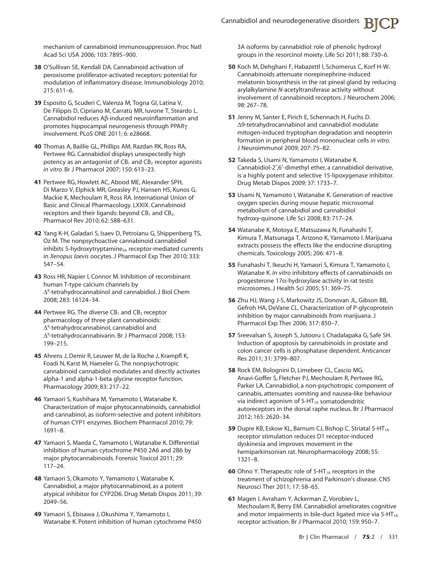mechanism of cannabinoid immunosuppression. Proc Natl Acad Sci USA 2006; 103: 7895–900.

- **38** O'Sullivan SE, Kendall DA. Cannabinoid activation of peroxisome proliferator-activated receptors: potential for modulation of inflammatory disease. Immunobiology 2010; 215: 611–6.
- **39** Esposito G, Scuderi C, Valenza M, Togna GI, Latina V, De Filippis D, Cipriano M, Carratù MR, Iuvone T, Steardo L. Cannabidiol reduces Ab-induced neuroinflammation and promotes hippocampal neurogenesis through PPARg involvement. PLoS ONE 2011; 6: e28668.
- **40** Thomas A, Baillie GL, Phillips AM, Razdan RK, Ross RA, Pertwee RG. Cannabidiol displays unexpectedly high potency as an antagonist of  $CB_1$  and  $CB_2$  receptor agonists *in vitro*. Br J Pharmacol 2007; 150: 613–23.
- **41** Pertwee RG, Howlett AC, Abood ME, Alexander SPH, Di Marzo V, Elphick MR, Greasley PJ, Hansen HS, Kunos G, Mackie K, Mechoulam R, Ross RA. International Union of Basic and Clinical Pharmacology. LXXIX. Cannabinoid receptors and their ligands: beyond  $CB<sub>1</sub>$  and  $CB<sub>2</sub>$ . Pharmacol Rev 2010; 62: 588–631.
- **42** Yang K-H, Galadari S, Isaev D, Petroianu G, Shippenberg TS, Oz M. The nonpsychoactive cannabinoid cannabidiol inhibits 5-hydroxytryptamine<sub>3A</sub> receptor-mediated currents in *Xenopus laevis* oocytes. J Pharmacol Exp Ther 2010; 333: 547–54.
- **43** Ross HR, Napier I, Connor M. Inhibition of recombinant human T-type calcium channels by  $\Delta^9$ -tetrahydrocannabinol and cannabidiol. J Biol Chem 2008; 283: 16124–34.
- **44** Pertwee RG. The diverse CB<sub>1</sub> and CB<sub>2</sub> receptor pharmacology of three plant cannabinoids:  $\Delta^9$ -tetrahydrocannabinol, cannabidiol and  $\Delta^9$ -tetrahydrocannabivarin. Br J Pharmacol 2008; 153: 199–215.
- **45** Ahrens J, Demir R, Leuwer M, de la Roche J, Krampfl K, Foadi N, Karst M, Haeseler G. The nonpsychotropic cannabinoid cannabidiol modulates and directly activates alpha-1 and alpha-1-beta glycine receptor function. Pharmacology 2009; 83: 217–22.
- **46** Yamaori S, Kushihara M, Yamamoto I, Watanabe K. Characterization of major phytocannabinoids, cannabidiol and cannabinol, as isoform-selective and potent inhibitors of human CYP1 enzymes. Biochem Pharmacol 2010; 79: 1691–8.
- **47** Yamaori S, Maeda C, Yamamoto I, Watanabe K. Differential inhibition of human cytochrome P450 2A6 and 2B6 by major phytocannabinoids. Forensic Toxicol 2011; 29: 117–24.
- **48** Yamaori S, Okamoto Y, Yamamoto I, Watanabe K. Cannabidiol, a major phytocannabinoid, as a potent atypical inhibitor for CYP2D6. Drug Metab Dispos 2011; 39: 2049–56.
- **49** Yamaori S, Ebisawa J, Okushima Y, Yamamoto I, Watanabe K. Potent inhibition of human cytochrome P450

3A isoforms by cannabidiol: role of phenolic hydroxyl groups in the resorcinol moiety. Life Sci 2011; 88: 730–6.

- **50** Koch M, Dehghani F, Habazettl I, Schomerus C, Korf H-W. Cannabinoids attenuate norepinephrine-induced melatonin biosynthesis in the rat pineal gland by reducing arylalkylamine *N*-acetyltransferase activity without involvement of cannabinoid receptors. J Neurochem 2006; 98: 267–78.
- **51** Jenny M, Santer E, Pirich E, Schennach H, Fuchs D.  $\Delta$ 9-tetrahydrocannabinol and cannabidiol modulate mitogen-induced tryptophan degradation and neopterin formation in peripheral blood mononuclear cells *in vitro*. J Neuroimmunol 2009; 207: 75–82.
- **52** Takeda S, Usami N, Yamamoto I, Watanabe K. Cannabidiol-2′,6′-dimethyl ether, a cannabidiol derivative, is a highly potent and selective 15-lipoxygenase inhibitor. Drug Metab Dispos 2009; 37: 1733–7.
- **53** Usami N, Yamamoto I, Watanabe K. Generation of reactive oxygen species during mouse hepatic microsomal metabolism of cannabidiol and cannabidiol hydroxy-quinone. Life Sci 2008; 83: 717–24.
- **54** Watanabe K, Motoya E, Matsuzawa N, Funahashi T, Kimura T, Matsunaga T, Arizono K, Yamamoto I. Marijuana extracts possess the effects like the endocrine disrupting chemicals. Toxicology 2005; 206: 471–8.
- **55** Funahashi T, Ikeuchi H, Yamaori S, Kimura T, Yamamoto I, Watanabe K. *In vitro* inhibitory effects of cannabinoids on progesterone  $17\alpha$ -hydroxylase activity in rat testis microsomes. J Health Sci 2005; 51: 369–75.
- **56** Zhu HJ, Wang J-S, Markowitz JS, Donovan JL, Gibson BB, Gefroh HA, DeVane CL. Characterization of P-glycoprotein inhibition by major cannabinoids from marijuana. J Pharmacol Exp Ther 2006; 317: 850–7.
- **57** Sreevalsan S, Joseph S, Jutooru I, Chadalapaka G, Safe SH. Induction of apoptosis by cannabinoids in prostate and colon cancer cells is phosphatase dependent. Anticancer Res 2011; 31: 3799–807.
- **58** Rock EM, Bolognini D, Limebeer CL, Cascio MG, Anavi-Goffer S, Fletcher PJ, Mechoulam R, Pertwee RG, Parker LA. Cannabidiol, a non-psychotropic component of cannabis, attenuates vomiting and nausea-like behaviour via indirect agonism of 5-HT<sub>1A</sub> somatodendritic autoreceptors in the dorsal raphe nucleus. Br J Pharmacol 2012; 165: 2620–34.
- **59** Dupre KB, Eskow KL, Barnum CJ, Bishop C. Striatal 5-HT<sub>1A</sub> receptor stimulation reduces D1 receptor-induced dyskinesia and improves movement in the hemiparkinsonian rat. Neuropharmacology 2008; 55: 1321–8.
- **60** Ohno Y. Therapeutic role of 5-HT<sub>1A</sub> receptors in the treatment of schizophrenia and Parkinson's disease. CNS Neurosci Ther 2011; 17: 58–65.
- **61** Magen I, Avraham Y, Ackerman Z, Vorobiev L, Mechoulam R, Berry EM. Cannabidiol ameliorates cognitive and motor impairments in bile-duct ligated mice via  $5-HT_{1A}$ receptor activation. Br J Pharmacol 2010; 159: 950–7.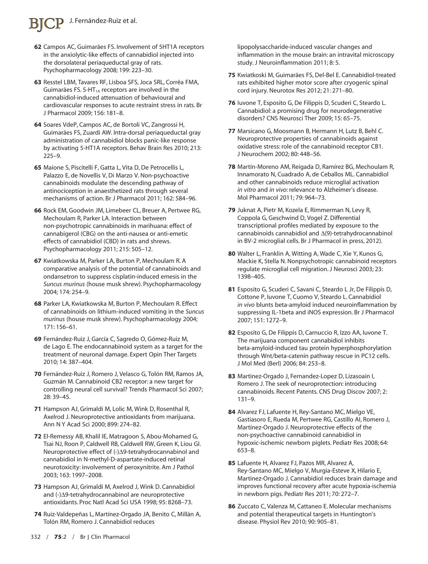# J. Fernández-Ruiz et al.

- **62** Campos AC, Guimarães FS. Involvement of 5HT1A receptors in the anxiolytic-like effects of cannabidiol injected into the dorsolateral periaqueductal gray of rats. Psychopharmacology 2008; 199: 223–30.
- **63** Resstel LBM, Tavares RF, Lisboa SFS, Joca SRL, Corrêa FMA, Guimarães FS. 5-HT $_{1A}$  receptors are involved in the cannabidiol-induced attenuation of behavioural and cardiovascular responses to acute restraint stress in rats. Br J Pharmacol 2009; 156: 181–8.
- **64** Soares VdeP, Campos AC, de Bortoli VC, Zangrossi H, Guimarães FS, Zuardi AW. Intra-dorsal periaqueductal gray administration of cannabidiol blocks panic-like response by activating 5-HT1A receptors. Behav Brain Res 2010; 213: 225–9.
- **65** Maione S, Piscitelli F, Gatta L, Vita D, De Petrocellis L, Palazzo E, de Novellis V, Di Marzo V. Non-psychoactive cannabinoids modulate the descending pathway of antinociception in anaesthetized rats through several mechanisms of action. Br J Pharmacol 2011; 162: 584–96.
- **66** Rock EM, Goodwin JM, Limebeer CL, Breuer A, Pertwee RG, Mechoulam R, Parker LA. Interaction between non-psychotropic cannabinoids in marihuana: effect of cannabigerol (CBG) on the anti-nausea or anti-emetic effects of cannabidiol (CBD) in rats and shrews. Psychopharmacology 2011; 215: 505–12.
- **67** Kwiatkowska M, Parker LA, Burton P, Mechoulam R. A comparative analysis of the potential of cannabinoids and ondansetron to suppress cisplatin-induced emesis in the *Suncus murinus* (house musk shrew). Psychopharmacology 2004; 174: 254–9.
- **68** Parker LA, Kwiatkowska M, Burton P, Mechoulam R. Effect of cannabinoids on lithium-induced vomiting in the *Suncus murinus* (house musk shrew). Psychopharmacology 2004; 171: 156–61.
- **69** Fernández-Ruiz J, García C, Sagredo O, Gómez-Ruiz M, de Lago E. The endocannabinoid system as a target for the treatment of neuronal damage. Expert Opin Ther Targets 2010; 14: 387–404.
- **70** Fernández-Ruiz J, Romero J, Velasco G, Tolón RM, Ramos JA, Guzmán M. Cannabinoid CB2 receptor: a new target for controlling neural cell survival? Trends Pharmacol Sci 2007; 28: 39–45.
- **71** Hampson AJ, Grimaldi M, Lolic M, Wink D, Rosenthal R, Axelrod J. Neuroprotective antioxidants from marijuana. Ann N Y Acad Sci 2000; 899: 274–82.
- **72** El-Remessy AB, Khalil IE, Matragoon S, Abou-Mohamed G, Tsai NJ, Roon P, Caldwell RB, Caldwell RW, Green K, Liou GI. Neuroprotective effect of  $(-)\Delta$ 9-tetrahydrocannabinol and cannabidiol in N-methyl-D-aspartate-induced retinal neurotoxicity: involvement of peroxynitrite. Am J Pathol 2003; 163: 1997–2008.
- **73** Hampson AJ, Grimaldi M, Axelrod J, Wink D. Cannabidiol and  $(-)\Delta$ 9-tetrahydrocannabinol are neuroprotective antioxidants. Proc Natl Acad Sci USA 1998; 95: 8268–73.
- **74** Ruiz-Valdepeñas L, Martínez-Orgado JA, Benito C, Millán A, Tolón RM, Romero J. Cannabidiol reduces

lipopolysaccharide-induced vascular changes and inflammation in the mouse brain: an intravital microscopy study. J Neuroinflammation 2011; 8: 5.

- **75** Kwiatkoski M, Guimarães FS, Del-Bel E. Cannabidiol-treated rats exhibited higher motor score after cryogenic spinal cord injury. Neurotox Res 2012; 21: 271–80.
- **76** Iuvone T, Esposito G, De Filippis D, Scuderi C, Steardo L. Cannabidiol: a promising drug for neurodegenerative disorders? CNS Neurosci Ther 2009; 15: 65–75.
- **77** Marsicano G, Moosmann B, Hermann H, Lutz B, Behl C. Neuroprotective properties of cannabinoids against oxidative stress: role of the cannabinoid receptor CB1. J Neurochem 2002; 80: 448–56.
- **78** Martín-Moreno AM, Reigada D, Ramírez BG, Mechoulam R, Innamorato N, Cuadrado A, de Ceballos ML. Cannabidiol and other cannabinoids reduce microglial activation *in vitro* and *in vivo*: relevance to Alzheimer's disease. Mol Pharmacol 2011; 79: 964–73.
- **79** Juknat A, Pietr M, Kozela E, Rimmerman N, Levy R, Coppola G, Geschwind D, Vogel Z. Differential transcriptional profiles mediated by exposure to the cannabinoids cannabidiol and  $\Delta(9)$ -tetrahydrocannabinol in BV-2 microglial cells. Br J Pharmacol in press, 2012).
- **80** Walter L, Franklin A, Witting A, Wade C, Xie Y, Kunos G, Mackie K, Stella N. Nonpsychotropic cannabinoid receptors regulate microglial cell migration. J Neurosci 2003; 23: 1398–405.
- **81** Esposito G, Scuderi C, Savani C, Steardo L Jr, De Filippis D, Cottone P, Iuvone T, Cuomo V, Steardo L. Cannabidiol *in vivo* blunts beta-amyloid induced neuroinflammation by suppressing IL-1beta and iNOS expression. Br J Pharmacol 2007; 151: 1272–9.
- **82** Esposito G, De Filippis D, Carnuccio R, Izzo AA, Iuvone T. The marijuana component cannabidiol inhibits beta-amyloid-induced tau protein hyperphosphorylation through Wnt/beta-catenin pathway rescue in PC12 cells. J Mol Med (Berl) 2006; 84: 253–8.
- **83** Martinez-Orgado J, Fernandez-Lopez D, Lizasoain I, Romero J. The seek of neuroprotection: introducing cannabinoids. Recent Patents. CNS Drug Discov 2007; 2: 131–9.
- **84** Alvarez FJ, Lafuente H, Rey-Santano MC, Mielgo VE, Gastiasoro E, Rueda M, Pertwee RG, Castillo AI, Romero J, Martínez-Orgado J. Neuroprotective effects of the non-psychoactive cannabinoid cannabidiol in hypoxic-ischemic newborn piglets. Pediatr Res 2008; 64: 653–8.
- **85** Lafuente H, Alvarez FJ, Pazos MR, Alvarez A, Rey-Santano MC, Mielgo V, Murgia-Esteve X, Hilario E, Martinez-Orgado J. Cannabidiol reduces brain damage and improves functional recovery after acute hypoxia-ischemia in newborn pigs. Pediatr Res 2011; 70: 272–7.
- **86** Zuccato C, Valenza M, Cattaneo E. Molecular mechanisms and potential therapeutical targets in Huntington's disease. Physiol Rev 2010; 90: 905–81.